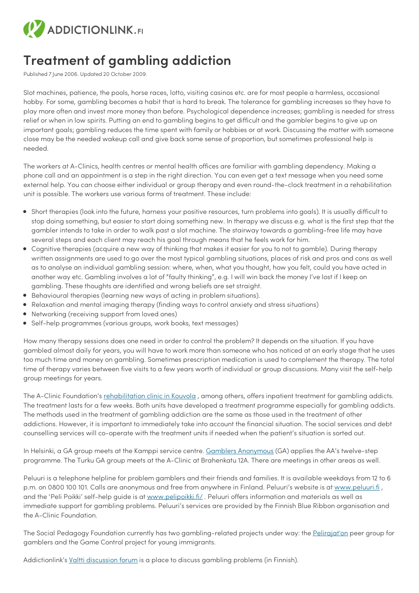

## **Treatment of gambling addiction**

Published 7 June 2006. Updated 20 October 2009.

Slot machines, patience, the pools, horse races, lotto, visiting casinos etc. are for most people a harmless, occasional hobby. For some, gambling becomes a habit that is hard to break. The tolerance for gambling increases so they have to play more often and invest more money than before. Psychological dependence increases; gambling is needed for stress relief or when in low spirits. Putting an end to gambling begins to get difficult and the gambler begins to give up on important goals; gambling reduces the time spent with family or hobbies or at work. Discussing the matter with someone close may be the needed wakeup call and give back some sense of proportion, but sometimes professional help is needed.

The workers at A-Clinics, health centres or mental health offices are familiar with gambling dependency. Making a phone call and an appointment is a step in the right direction. You can even get a text message when you need some external help. You can choose either individual or group therapy and even round-the-clock treatment in a rehabilitation unit is possible. The workers use various forms of treatment. These include:

- Short therapies (look into the future, harness your positive resources, turn problems into goals). It is usually difficult to stop doing something, but easier to start doing something new. In therapy we discuss e.g. what is the first step that the gambler intends to take in order to walk past a slot machine. The stairway towards a gambling-free life may have several steps and each client may reach his goal through means that he feels work for him.
- Cognitive therapies (acquire a new way of thinking that makes it easier for you to not to gamble). During therapy written assignments are used to go over the most typical gambling situations, places of risk and pros and cons as well as to analyse an individual gambling session: where, when, what you thought, how you felt, could you have acted in another way etc. Gambling involves a lot of "faulty thinking", e.g. I will win back the money I've lost if I keep on gambling. These thoughts are identified and wrong beliefs are set straight.
- Behavioural therapies (learning new ways of acting in problem situations).
- Relaxation and mental imaging therapy (finding ways to control anxiety and stress situations)
- Networking (receiving support from loved ones)
- Self-help programmes (various groups, work books, text messages)

How many therapy sessions does one need in order to control the problem? It depends on the situation. If you have gambled almost daily for years, you will have to work more than someone who has noticed at an early stage that he uses too much time and money on gambling. Sometimes prescription medication is used to complement the therapy. The total time of therapy varies between five visits to a few years worth of individual or group discussions. Many visit the self-help group meetings for years.

The A-Clinic Foundation's [rehabilitation](https://www.a-klinikka.fi/toimipisteet/kouvola/a-klinikka-kouvola) clinic in Kouvola, among others, offers inpatient treatment for gambling addicts. The treatment lasts for a few weeks. Both units have developed a treatment programme especially for gambling addicts. The methods used in the treatment of gambling addiction are the same as those used in the treatment of other addictions. However, it is important to immediately take into account the financial situation. The social services and debt counselling services will co-operate with the treatment units if needed when the patient's situation is sorted out.

In Helsinki, a GA group meets at the Kamppi service centre. Gamblers [Anonymous](http://www.nimettomatpelurit.fi/) (GA) applies the AA's twelve-step programme. The Turku GA group meets at the A-Clinic at Brahenkatu 12A. There are meetings in other areas as well.

Peluuri is a telephone helpline for problem gamblers and their friends and families. It is available weekdays from 12 to 6 p.m. on 0800 100 101. Calls are anonymous and free from anywhere in Finland. Peluuri's website is at [www.peluuri.fi](https://peluuri.fi/fi), and the 'Peli Poikki' self-help guide is at [www.pelipoikki.fi/](https://peluuri.fi/fi/pelaajat/peluurin-valtakunnalliset-palvelut/peli-poikki-ohjelma). Peluuri offers information and materials as well as immediate support for gambling problems. Peluuri's services are provided by the Finnish Blue Ribbon organisation and the A-Clinic Foundation.

The Social Pedagogy Foundation currently has two gambling-related projects under way: the [Pelirajat'on](https://pelirajaton.fi/) peer group for gamblers and the Game Control project for young immigrants.

Addictionlink's Valtti [discussion](https://paihdelinkki.fi/keskustelu/viewforum.php?f=36) forum is a place to discuss gambling problems (in Finnish).